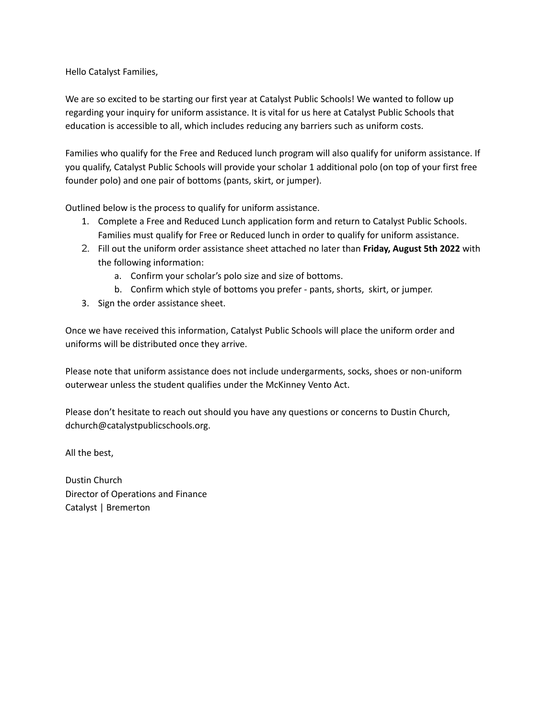Hello Catalyst Families,

We are so excited to be starting our first year at Catalyst Public Schools! We wanted to follow up regarding your inquiry for uniform assistance. It is vital for us here at Catalyst Public Schools that education is accessible to all, which includes reducing any barriers such as uniform costs.

Families who qualify for the Free and Reduced lunch program will also qualify for uniform assistance. If you qualify, Catalyst Public Schools will provide your scholar 1 additional polo (on top of your first free founder polo) and one pair of bottoms (pants, skirt, or jumper).

Outlined below is the process to qualify for uniform assistance.

- 1. Complete a Free and Reduced Lunch application form and return to Catalyst Public Schools. Families must qualify for Free or Reduced lunch in order to qualify for uniform assistance.
- 2. Fill out the uniform order assistance sheet attached no later than **Friday, August 5th 2022** with the following information:
	- a. Confirm your scholar's polo size and size of bottoms.
	- b. Confirm which style of bottoms you prefer pants, shorts, skirt, or jumper.
- 3. Sign the order assistance sheet.

Once we have received this information, Catalyst Public Schools will place the uniform order and uniforms will be distributed once they arrive.

Please note that uniform assistance does not include undergarments, socks, shoes or non-uniform outerwear unless the student qualifies under the McKinney Vento Act.

Please don't hesitate to reach out should you have any questions or concerns to Dustin Church, dchurch@catalystpublicschools.org.

All the best,

Dustin Church Director of Operations and Finance Catalyst | Bremerton